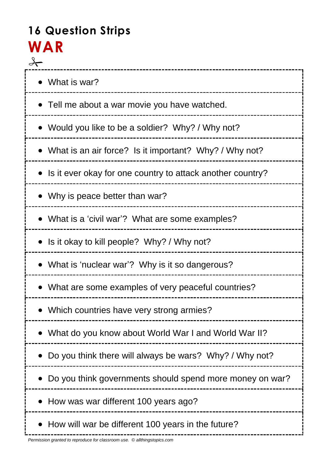# **16 Question Strips WAR**

| • What is war?                                             |
|------------------------------------------------------------|
| • Tell me about a war movie you have watched.              |
| • Would you like to be a soldier? Why? / Why not?          |
| • What is an air force? Is it important? Why? / Why not?   |
| Is it ever okay for one country to attack another country? |
| Why is peace better than war?                              |
| What is a 'civil war'? What are some examples?             |
| Is it okay to kill people? Why? / Why not?                 |
| • What is 'nuclear war'? Why is it so dangerous?           |
| • What are some examples of very peaceful countries?       |
| Which countries have very strong armies?                   |
| What do you know about World War I and World War II?       |
| Do you think there will always be wars? Why? / Why not?    |
| Do you think governments should spend more money on war?   |
| How was war different 100 years ago?                       |
| How will war be different 100 years in the future?         |